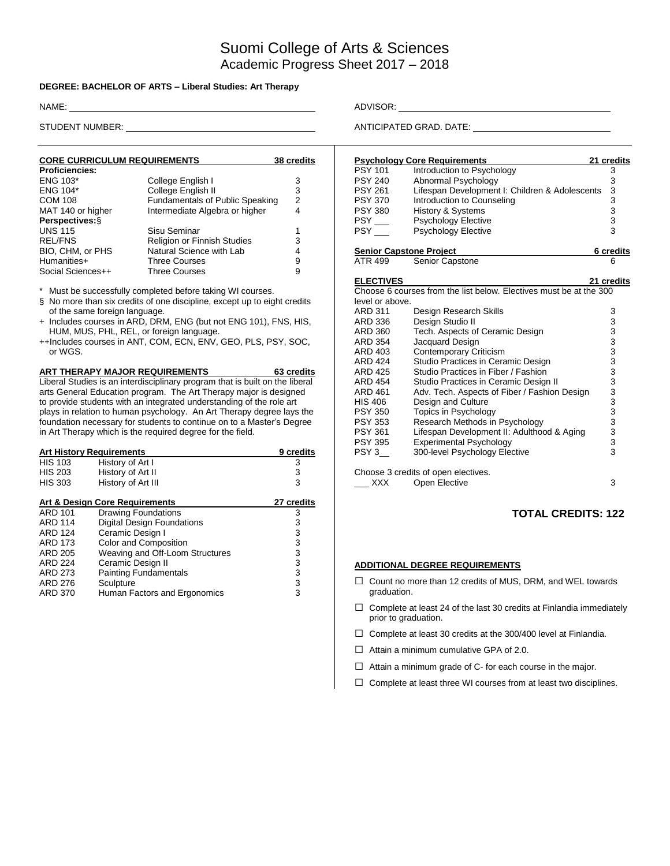# Suomi College of Arts & Sciences Academic Progress Sheet 2017 – 2018

#### **DEGREE: BACHELOR OF ARTS – Liberal Studies: Art Therapy**

| <b>CORE CURRICULUM REQUIREMENTS</b> | 38 credits                         |   |
|-------------------------------------|------------------------------------|---|
| <b>Proficiencies:</b>               |                                    |   |
| ENG 103*                            | College English I                  | 3 |
| <b>ENG 104*</b>                     | College English II                 | 3 |
| <b>COM 108</b>                      | Fundamentals of Public Speaking    | 2 |
| MAT 140 or higher                   | Intermediate Algebra or higher     |   |
| Perspectives: §                     |                                    |   |
| <b>UNS 115</b>                      | Sisu Seminar                       |   |
| <b>REL/FNS</b>                      | <b>Religion or Finnish Studies</b> | 3 |
| BIO, CHM, or PHS                    | Natural Science with Lab           |   |
| Humanities+                         | <b>Three Courses</b>               | 9 |
| Social Sciences++                   | <b>Three Courses</b>               | 9 |

\* Must be successfully completed before taking WI courses.

§ No more than six credits of one discipline, except up to eight credits of the same foreign language.

- + Includes courses in ARD, DRM, ENG (but not ENG 101), FNS, HIS, HUM, MUS, PHL, REL, or foreign language.
- ++Includes courses in ANT, COM, ECN, ENV, GEO, PLS, PSY, SOC, or WGS.

**ART THERAPY MAJOR REQUIREMENTS 63 credits** Liberal Studies is an interdisciplinary program that is built on the liberal arts General Education program. The Art Therapy major is designed to provide students with an integrated understanding of the role art plays in relation to human psychology. An Art Therapy degree lays the foundation necessary for students to continue on to a Master's Degree in Art Therapy which is the required degree for the field.

| <b>Art History Requirements</b> | 9 credits                         |   |
|---------------------------------|-----------------------------------|---|
| <b>HIS 103</b>                  | History of Art I                  | 3 |
| <b>HIS 203</b>                  | History of Art II                 | 3 |
| <b>HIS 303</b>                  | History of Art III                | 3 |
| Art & Design Core Requirements  | 27 credits                        |   |
| <b>ARD 101</b>                  | <b>Drawing Foundations</b>        | 3 |
| <b>ARD 114</b>                  | <b>Digital Design Foundations</b> | 3 |
| <b>ARD 124</b>                  | Ceramic Design I                  | 3 |
| ARD 173                         | Color and Composition             | 3 |
| ARD 205                         | Weaving and Off-Loom Structures   | 3 |
| <b>ARD 224</b>                  | Ceramic Design II                 | 3 |
| ARD 273                         | <b>Painting Fundamentals</b>      | 3 |
| ARD 276                         | Sculpture                         | 3 |
| <b>ARD 370</b>                  | Human Factors and Ergonomics      | 3 |

NAME: ADVISOR:

STUDENT NUMBER: ANTICIPATED GRAD. DATE:

|                                | <b>Psychology Core Requirements</b>                                | 21 credits                                          |
|--------------------------------|--------------------------------------------------------------------|-----------------------------------------------------|
| <b>PSY 101</b>                 | Introduction to Psychology                                         | 3                                                   |
| <b>PSY 240</b>                 | Abnormal Psychology                                                | $\begin{array}{c}\n 3 \\ 3 \\ 3 \\ 3\n \end{array}$ |
| <b>PSY 261</b>                 | Lifespan Development I: Children & Adolescents                     |                                                     |
| <b>PSY 370</b>                 | Introduction to Counseling                                         |                                                     |
| <b>PSY 380</b>                 | <b>History &amp; Systems</b>                                       |                                                     |
| $PSY$ <sub>---</sub>           | <b>Psychology Elective</b>                                         |                                                     |
| <b>PSY</b>                     | <b>Psychology Elective</b>                                         |                                                     |
| <b>Senior Capstone Project</b> |                                                                    | 6 credits                                           |
| ATR 499                        | <b>Senior Capstone</b>                                             | 6                                                   |
| <b>ELECTIVES</b>               |                                                                    | 21 credits                                          |
|                                | Choose 6 courses from the list below. Electives must be at the 300 |                                                     |
| level or above.                |                                                                    |                                                     |
| <b>ARD 311</b>                 | Design Research Skills                                             |                                                     |
| ARD 336                        | Design Studio II                                                   |                                                     |
| <b>ARD 360</b>                 | Tech. Aspects of Ceramic Design                                    |                                                     |
| <b>ARD 354</b>                 | Jacquard Design                                                    |                                                     |
| ARD 403                        | <b>Contemporary Criticism</b>                                      |                                                     |
| <b>ARD 424</b>                 | Studio Practices in Ceramic Design                                 |                                                     |
| <b>ARD 425</b>                 | Studio Practices in Fiber / Fashion                                |                                                     |
| <b>ARD 454</b>                 | Studio Practices in Ceramic Design II                              |                                                     |
| <b>ARD 461</b>                 | Adv. Tech. Aspects of Fiber / Fashion Design                       |                                                     |
| <b>HIS 406</b>                 | Design and Culture                                                 |                                                     |
| <b>PSY 350</b>                 | Topics in Psychology                                               |                                                     |
| <b>PSY 353</b>                 | Research Methods in Psychology                                     |                                                     |
| <b>PSY 361</b>                 | Lifespan Development II: Adulthood & Aging                         |                                                     |
| <b>PSY 395</b>                 | <b>Experimental Psychology</b>                                     |                                                     |
| PSY 3                          | 300-level Psychology Elective                                      |                                                     |
|                                | Choose 3 credits of open electives.                                |                                                     |
| <b>XXX</b>                     | Open Elective                                                      | 3                                                   |

### **TOTAL CREDITS: 122**

#### **ADDITIONAL DEGREE REQUIREMENTS**

- □ Count no more than 12 credits of MUS, DRM, and WEL towards graduation.
- $\Box$  Complete at least 24 of the last 30 credits at Finlandia immediately prior to graduation.
- $\Box$  Complete at least 30 credits at the 300/400 level at Finlandia.
- $\Box$  Attain a minimum cumulative GPA of 2.0.
- $\Box$  Attain a minimum grade of C- for each course in the major.
- $\Box$  Complete at least three WI courses from at least two disciplines.